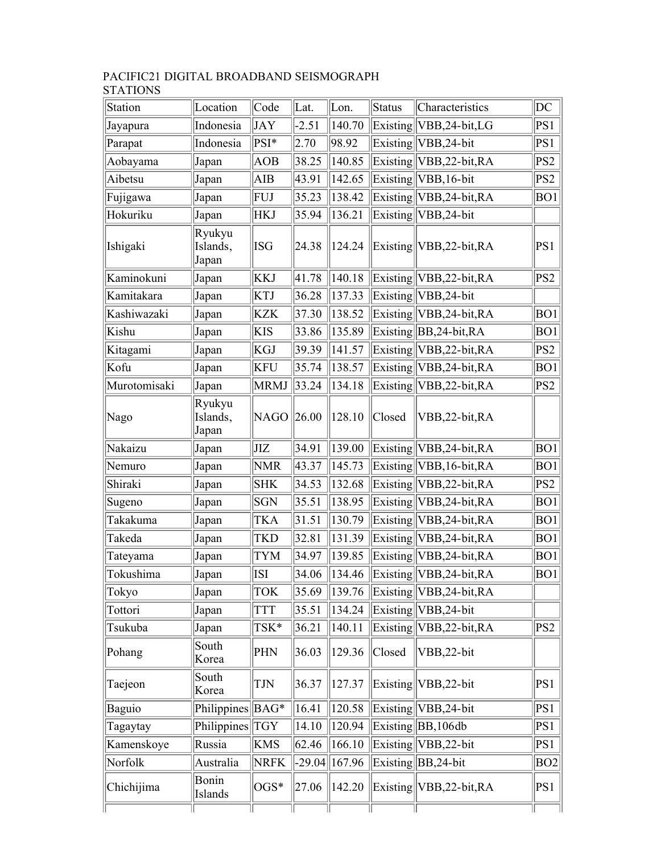## PACIFIC21 DIGITAL BROADBAND SEISMOGRAPH STATIONS

| Station      | Location                    | Code        | Lat.     | Lon.   | Status | Characteristics                 | DC              |
|--------------|-----------------------------|-------------|----------|--------|--------|---------------------------------|-----------------|
| Jayapura     | Indonesia                   | JAY         | $-2.51$  | 140.70 |        | Existing   VBB, 24-bit, LG      | PS1             |
| Parapat      | Indonesia                   | PSI*        | 2.70     | 98.92  |        | Existing VBB, 24-bit            | PS1             |
| Aobayama     | Japan                       | AOB         | 38.25    | 140.85 |        | Existing VBB, 22-bit, RA        | PS <sub>2</sub> |
| Aibetsu      | Japan                       | AIB         | 43.91    | 142.65 |        | $Existing$  VBB, 16-bit         | PS <sub>2</sub> |
| Fujigawa     | Japan                       | FUJ         | 35.23    | 138.42 |        | $Existing$ VBB, 24-bit, RA      | BO <sub>1</sub> |
| Hokuriku     | Japan                       | <b>HKJ</b>  | 35.94    | 136.21 |        | $Existing$ VBB, 24-bit          |                 |
| Ishigaki     | Ryukyu<br>Islands,<br>Japan | <b>ISG</b>  | 24.38    | 124.24 |        | Existing VBB, 22-bit, RA        | PS1             |
| Kaminokuni   | Japan                       | <b>KKJ</b>  | 41.78    | 140.18 |        | Existing VBB, 22-bit, RA        | PS2             |
| Kamitakara   | Japan                       | KTJ         | 36.28    | 137.33 |        | $Existing  VBB,24-bit$          |                 |
| Kashiwazaki  | Japan                       | KZK         | 37.30    | 138.52 |        | $Existing\vert VBB, 24-bit, RA$ | BO1             |
| Kishu        | Japan                       | <b>KIS</b>  | 33.86    | 135.89 |        | Existing BB, 24-bit, RA         | BO1             |
| Kitagami     | Japan                       | <b>KGJ</b>  | 39.39    | 141.57 |        | Existing   VBB, 22-bit, RA      | PS2             |
| Kofu         | Japan                       | <b>KFU</b>  | 35.74    | 138.57 |        | $Existing\vert VBB, 24-bit, RA$ | BO <sub>1</sub> |
| Murotomisaki | Japan                       | <b>MRMJ</b> | 33.24    | 134.18 |        | $Existing\ VBB,22-bit,RA$       | PS <sub>2</sub> |
| Nago         | Ryukyu<br>Islands,<br>Japan | <b>NAGO</b> | 26.00    | 128.10 | Closed | VBB,22-bit,RA                   |                 |
| Nakaizu      | Japan                       | JIZ         | 34.91    | 139.00 |        | Existing VBB, 24-bit, RA        | BO1             |
| Nemuro       | Japan                       | <b>NMR</b>  | 43.37    | 145.73 |        | $Existing$ VBB, 16-bit, RA      | BO1             |
| Shiraki      | Japan                       | <b>SHK</b>  | 34.53    | 132.68 |        | Existing VBB, 22-bit, RA        | PS2             |
| Sugeno       | Japan                       | <b>SGN</b>  | 35.51    | 138.95 |        | Existing VBB, 24-bit, RA        | BO1             |
| Takakuma     | Japan                       | TKA         | 31.51    | 130.79 |        | Existing VBB, 24-bit, RA        | BO1             |
| Takeda       | Japan                       | <b>TKD</b>  | 32.81    | 131.39 |        | Existing   VBB, 24-bit, RA      | BO1             |
| Tateyama     | Japan                       | <b>TYM</b>  | 34.97    | 139.85 |        | $Existing\ VBB,24-bit,RA$       | BO <sub>1</sub> |
| Tokushima    | Japan                       | ISI         | 34.06    | 134.46 |        | Existing   VBB, 24-bit, RA      | BO1             |
| Tokyo        | Japan                       | <b>TOK</b>  | 35.69    | 139.76 |        | Existing VBB, 24-bit, RA        |                 |
| Tottori      | Japan                       | <b>TTT</b>  | 35.51    | 134.24 |        | Existing VBB, 24-bit            |                 |
| Tsukuba      | Japan                       | TSK*        | 36.21    | 140.11 |        | Existing VBB, 22-bit, RA        | PS2             |
| Pohang       | South<br>Korea              | PHN         | 36.03    | 129.36 | Closed | VBB,22-bit                      |                 |
| Taejeon      | South<br>Korea              | TJN         | 36.37    | 127.37 |        | Existing VBB, 22-bit            | PS1             |
| Baguio       | Philippines                 | $BAG*$      | 16.41    | 120.58 |        | $Existing  VBB,24-bit$          | PS1             |
| Tagaytay     | Philippines                 | <b>TGY</b>  | 14.10    | 120.94 |        | $Existing \  BB, 106db$         | PS1             |
| Kamenskoye   | Russia                      | <b>KMS</b>  | 62.46    | 166.10 |        | $Existing  VBB,22-bit$          | PS1             |
| Norfolk      | Australia                   | <b>NRFK</b> | $-29.04$ | 167.96 |        | $Existing \  BB, 24-bit$        | BO <sub>2</sub> |
| Chichijima   | Bonin<br>Islands            | $OGS*$      | 27.06    | 142.20 |        | $Existing\vert VBB, 22-bit, RA$ | PS1             |
|              |                             |             |          |        |        |                                 |                 |